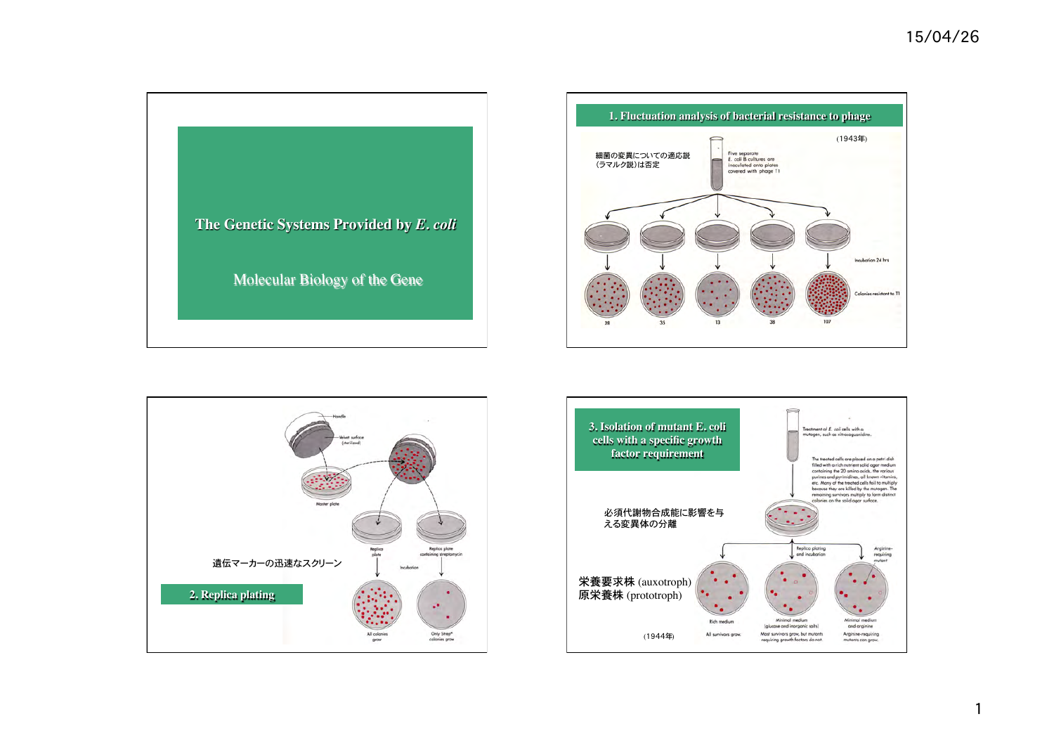





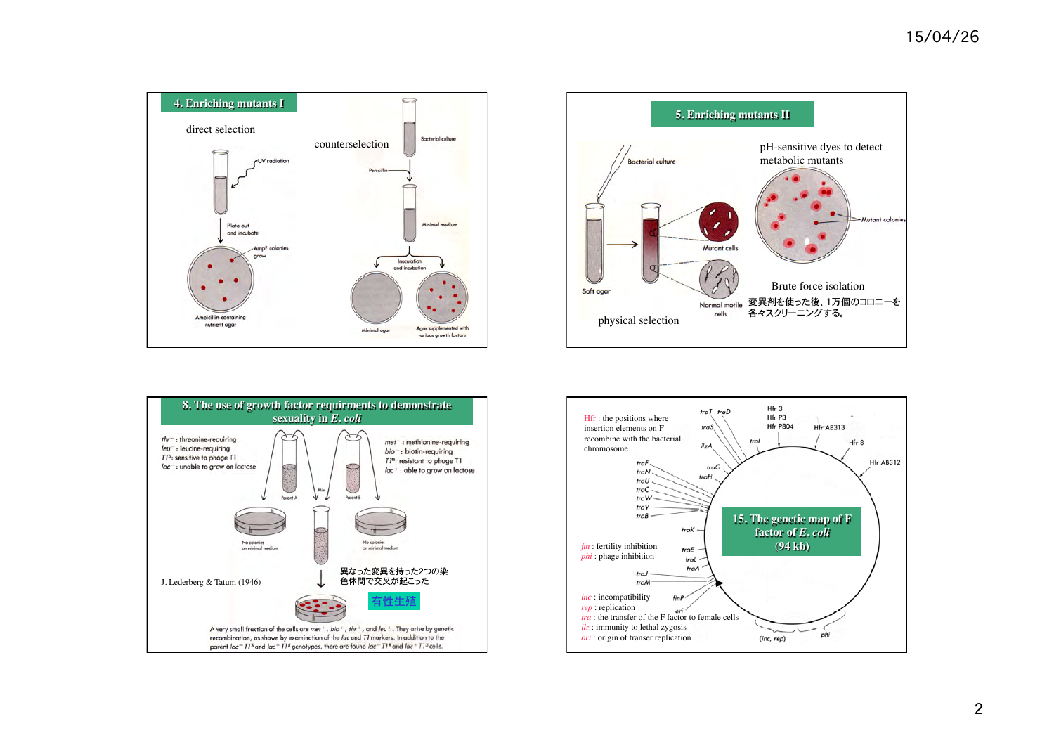





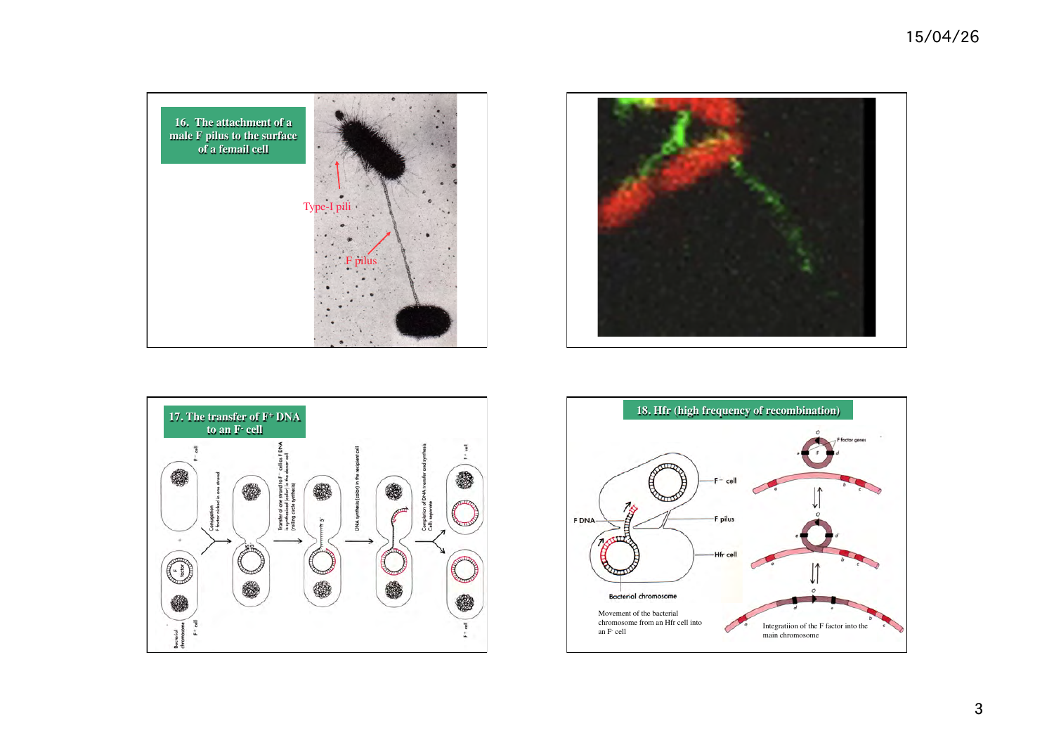





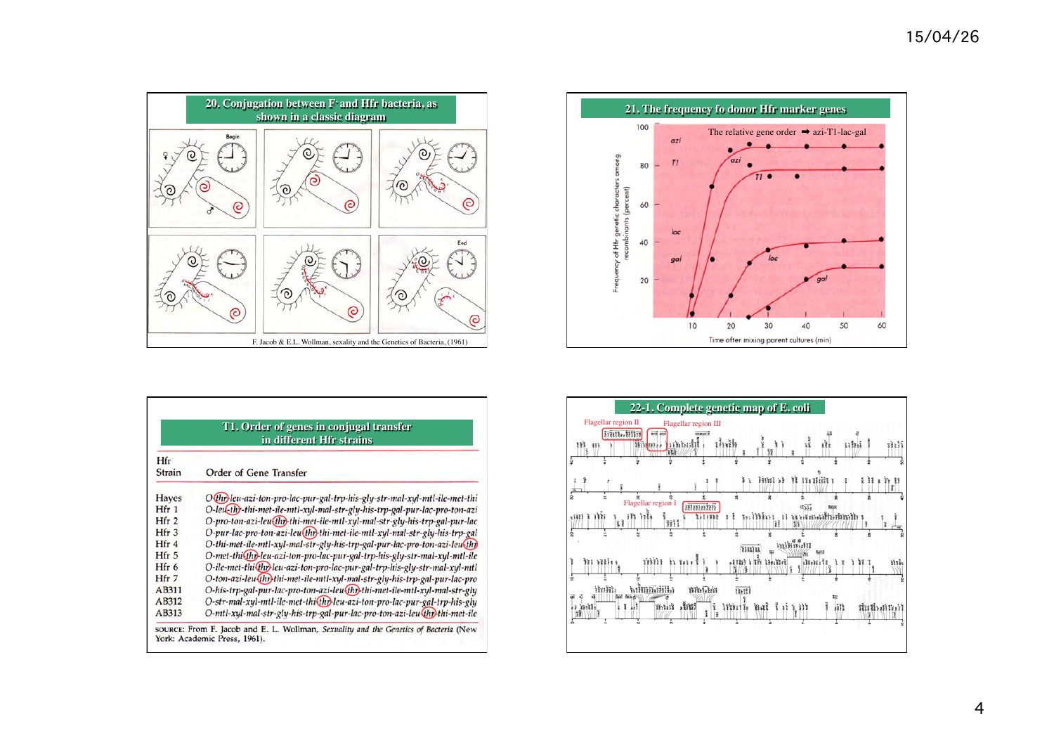

| T1. Order of genes in conjugal transfer |                                                                             |  |  |  |  |  |  |  |
|-----------------------------------------|-----------------------------------------------------------------------------|--|--|--|--|--|--|--|
| in different Hfr strains                |                                                                             |  |  |  |  |  |  |  |
| Hfr<br><b>Strain</b>                    | Order of Gene Transfer                                                      |  |  |  |  |  |  |  |
| <b>Hayes</b>                            | O (thr) leu-azi-ton-pro-lac-pur-gal-trp-his-gly-str-mal-xyl-mtl-ile-met-thi |  |  |  |  |  |  |  |
| Hfr 1                                   | O-leu-thy-thi-met-ile-mtl-xyl-mal-str-gly-his-trp-gal-pur-lac-pro-ton-azi   |  |  |  |  |  |  |  |
| Hfr <sub>2</sub>                        | O-pro-ton-azi-leu(thr)-thi-met-ile-mtl-xyl-mal-str-gly-his-trp-gal-pur-lac  |  |  |  |  |  |  |  |
| Hfr <sub>3</sub>                        | O-pur-lac-pro-ton-azi-leu(thr)thi-met-ile-mtl-xyl-mal-str-gly-his-trp-gal   |  |  |  |  |  |  |  |
| Hfr 4                                   | O-thi-met-ile-mtl-xyl-mal-str-gly-his-trp-gal-pur-lac-pro-ton-azi-leu(thr)  |  |  |  |  |  |  |  |
| Hfr 5                                   | O-met-thi(thr)-leu-azi-ton-pro-lac-pur-gal-trp-his-gly-str-mal-xyl-mtl-ile  |  |  |  |  |  |  |  |
| Hfr 6                                   | O-ile-met-thi{thr}leu-azi-ton-pro-lac-pur-gal-trp-his-gly-str-mal-xyl-mtl   |  |  |  |  |  |  |  |
| $Hfr$ 7                                 | O-ton-azi-leu(fhr)thi-met-ile-mtl-xyl-mal-str-gly-his-trp-gal-pur-lac-pro   |  |  |  |  |  |  |  |
| AB311                                   | O-his-trp-gal-pur-lac-pro-ton-azi-leu(thr)thi-met-ile-mtl-xyl-mal-str-gly   |  |  |  |  |  |  |  |
| AB312                                   | O-str-mal-xyl-mtl-ile-met-thi(thr)leu-azi-ton-pro-lac-pur-gal-trp-his-gly   |  |  |  |  |  |  |  |
| AB313                                   | O-mtl-xyl-mal-str-gly-his-trp-gal-pur-lac-pro-ton-azi-leu-thr)thi-met-ile   |  |  |  |  |  |  |  |



| 22-1. Complete genetic map of E. coli                                                                                                                                                                                                                                   |
|-------------------------------------------------------------------------------------------------------------------------------------------------------------------------------------------------------------------------------------------------------------------------|
| Flagellar region II<br>Flagellar region III<br><b>BOOK ARON</b><br>Teres, little<br>GOCBHAF1E<br>ដើម៉ៅទ<br>ił.<br>manil<br>1117.1<br>nii<br>111377222<br>m<br>镤<br>111<br>Ť<br>пu<br>÷<br>ù<br>٠                                                                        |
| <b>11 11: 11:11 1</b><br>finn a<br>Ìì.<br><b>a</b> 77 19<br>ù<br>ż<br>雴<br>Flagellar region I<br><b>Stesserive</b><br>dila<br><b>Iscot</b><br>n nh<br>efferei<br>អអ<br>1:111<br>1111<br>1,1,938<br>Уĭ<br>1111<br>H<br>Ħ<br>詞<br>ĩ<br>ġ<br>ż<br>Ŕ<br>÷<br>minimum<br>нин |
| ង សេរ<br>m mir<br>773723<br>$.1123$ i The United<br>$38 - 16 + 18$<br>ងអំ<br>31/14<br>ï<br>2<br>តៅអាអើរអំពីង<br>Willia<br><b>BREEDS</b><br><b>Buttle</b><br>ş<br>ł<br>$, \text{init}$<br>muit ballingm<br>11:1:11<br>۱ĩ.<br>, 331<br>i 1 il<br>is mil-<br>ЗĨ<br>E<br>ù. |